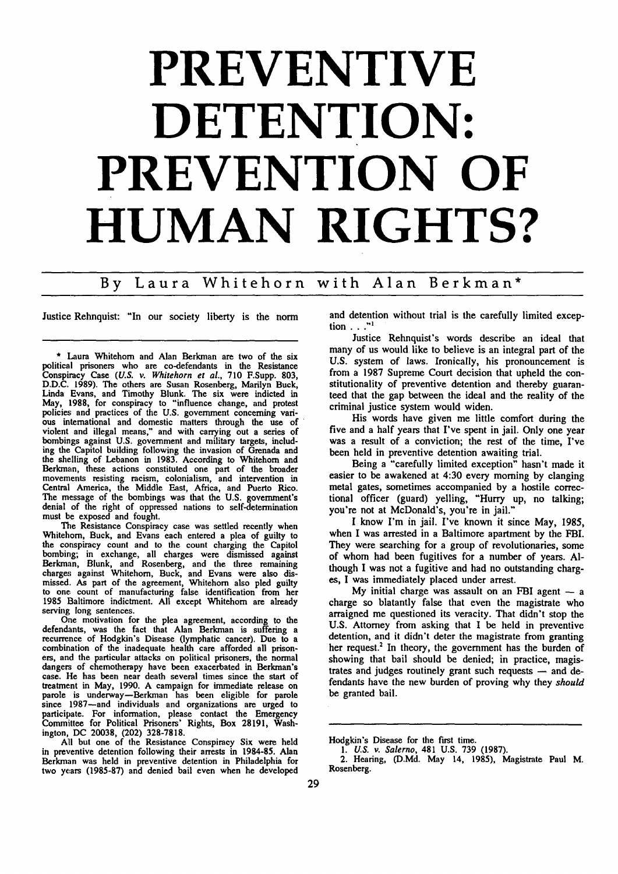## **PREVENTIVE DETENTION. PREVENTION OF HUMAN RIGHTS?**

## **By** Laura Whitehorn with Alan Berkman\*

Justice Rehnquist: "In our society liberty is the norm

The Resistance Conspiracy case was settled recently when Whitehorn, Buck, and Evans each entered a plea of guilty to the conspiracy count and to the count charging the Capitol bombing; in exchange, all charges were dismissed against Berkman, Blunk, and Rosenberg, and the three remaining charges against Whitehorn, Buck, and Evans were also dismissed. As part of the agreement, Whitehorn also pled guilty to one count of manufacturing false identification from her 1985 Baltimore indictment. All except Whitehorn are already serving long sentences.

One motivation for the plea agreement, according to the defendants, was the fact that Alan Berkman is suffering a recurrence of Hodgkin's Disease (lymphatic cancer). Due to a combination of the inadequate health care afforded all prisoners, and the particular attacks on political prisoners, the normal dangers of chemotherapy have been exacerbated in Berkman's case. **He** has been near death several times since the start of treatment in May, 1990. A campaign for immediate release on since is underway—Berkman has been eligible for parole<br>since 1987—and individuals and organizations are urged to participate. For information, please contact the Emergency Committee for Political Prisoners' Rights, Box 28191, Washington, DC 20038, (202) 328-7818.

All but one of the Resistance Conspiracy Six were held in preventive detention following their arrests in 1984-85. Alan Berkman was held in preventive detention in Philadelphia for two years (1985-87) and denied bail even when he developed and detention without trial is the carefully limited exception **. . ."**

Justice Rehnquist's words describe an ideal that many of us would like to believe is an integral part of the U.S. system of laws. Ironically, his pronouncement is from a 1987 Supreme Court decision that upheld the constitutionality of preventive detention and thereby guaranteed that the gap between the ideal and the reality of the criminal justice system would widen.

His words have given me little comfort during the five and a half years that I've spent in jail. Only one year was a result of a conviction; the rest of the time, I've been held in preventive detention awaiting trial.

Being a "carefully limited exception" hasn't made it easier to be awakened at 4:30 every morning by clanging metal gates, sometimes accompanied by a hostile correctional officer (guard) yelling, "Hurry up, no talking; you're not at McDonald's, you're in jail."

I know I'm in jail. I've known it since May, 1985, when I was arrested in a Baltimore apartment by the FBI. They were searching for a group of revolutionaries, some of whom had been fugitives for a number of years. Although I was not a fugitive and had no outstanding charges, I was immediately placed under arrest.

My initial charge was assault on an FBI agent  $-$  a charge so blatantly false that even the magistrate who arraigned me questioned its veracity. That didn't stop the U.S. Attorney from asking that I be held in preventive detention, and it didn't deter the magistrate from granting her request.<sup>2</sup> In theory, the government has the burden of showing that bail should be denied; in practice, magistrates and judges routinely grant such requests  $-$  and defendants have the new burden of proving why they should be granted bail.

Laura Whitehorn and Alan Berkman are two of the six political prisoners who are co-defendants in the Resistance Conspiracy Case *(U.S. v.* Whitehorn et al., 710 F.Supp. 803, D.D.C. 1989). The others are Susan Rosenberg, Marilyn Buck, Linda Evans, and Timothy Blunk. The six were indicted in May, 1988, for conspiracy to "influence change, and protest policies and practices of the U.S. government concerning vari- ous international and domestic matters through the use of violent and illegal means," and with carrying out a series of bombings against U.S. government and military targets, including the Capitol building following the invasion of Grenada and the shelling of Lebanon in **1983.** According to Whitehom and Berkman, these actions constituted one part of the broader movements resisting racism, colonialism, and intervention in Central America, the Middle East, Africa, and Puerto Rico. The message of the bombings was that the U.S. government's denial of the right of oppressed nations to self-determination must be exposed and fought.

Hodgkin's Disease for the first time.

*<sup>1.</sup> US.* v. Salerno, 481 U.S. 739 (1987).

<sup>2.</sup> Hearing, (D.Md. May 14, 1985), Magistrate Paul M. Rosenberg.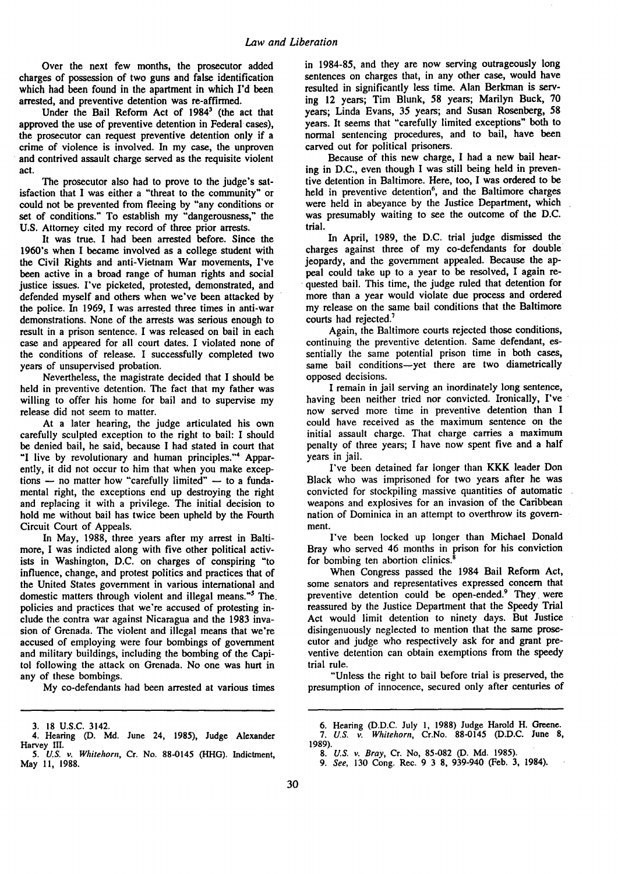Over the next few months, the prosecutor added charges of possession of two guns and false identification which had been found in the apartment in which I'd been arrested, and preventive detention was re-affirmed.

Under the Bail Reform Act of 1984<sup>3</sup> (the act that approved the use of preventive detention in Federal cases), the prosecutor can request preventive detention only if a crime of violence is involved. In my case, the unproven and contrived assault charge served as the requisite violent act.

The prosecutor also had to prove to the judge's satisfaction that I was either a "threat to the community" or could not be prevented from fleeing by "any conditions or set of conditions." To establish my "dangerousness," the U.S. Attorney cited my record of three prior arrests.

It was true. I had been arrested before. Since the 1960's when I became involved as a college student with the Civil Rights and anti-Vietnam War movements, I've been active in a broad range of human rights and social justice issues. I've picketed, protested, demonstrated, and defended myself and others when we've been attacked **by** the police. In 1969, I was arrested three times in anti-war demonstrations. None of the arrests was serious enough to result in a prison sentence. I was released on bail in each case and appeared for all court dates. I violated none of the conditions of release. I successfully completed two years of unsupervised probation.

Nevertheless, the magistrate decided that I should be held in preventive detention. The fact that my father was willing to offer his home for bail and to supervise my release did not seem to matter.

At a later hearing, the judge articulated his own carefully sculpted exception to the right to bail: I should be denied bail, he said, because I had stated in court that "I live **by** revolutionary and human principles."4 Apparently, it did not occur to him that when you make exceptions  $-$  no matter how "carefully limited"  $-$  to a fundamental right, the exceptions end up destroying the right and replacing it with a privilege. The initial decision to hold me without bail has twice been upheld **by** the Fourth Circuit Court of Appeals.

In May, 1988, three years after my arrest in Baltimore, I was indicted along with five other political activists in Washington, D.C. on charges of conspiring "to influence, change, and protest politics and practices that of the United States government in various international and domestic matters through violent and illegal means."5 The. policies and practices that we're accused of protesting include the contra war against Nicaragua and the 1983 invasion of Grenada. The violent and illegal means that we're accused of employing were four bombings of government and military buildings, including the bombing of the Capitol following the attack on Grenada. No one was hurt in any of these bombings.

**My** co-defendants had been arrested at various times

in 1984-85, and they are now serving outrageously long sentences on charges that, in any other case, would have resulted in significantly less time. Alan Berkman is serving 12 years; Tim Blunk, 58 years; Marilyn Buck, 70 years; Linda Evans, 35 years; and Susan Rosenberg, 58 years. It seems that "carefully limited exceptions" both to normal sentencing procedures, and to bail, have been carved out for political prisoners.

Because of this new charge, I had a new bail hearing in D.C., even though I was still being held in preventive detention in Baltimore. Here, too, I was ordered to be held in preventive detention<sup>6</sup>, and the Baltimore charges were held in abeyance by the Justice Department, which was presumably waiting to see the outcome of the D.C. trial.

In April, 1989, the D.C. trial judge dismissed the charges against three of my co-defendants for double jeopardy, and the government appealed. Because the appeal could take up to a year to be resolved, I again requested bail. This time, the judge ruled that detention for more than a year would violate due process and ordered my release on the same bail conditions that the Baltimore courts had rejected.<sup>7</sup>

Again, the Baltimore courts rejected those conditions, continuing the preventive detention. Same defendant, essentially the same potential prison time in both cases, same bail conditions-yet there are two diametrically opposed decisions.

I remain in jail serving an inordinately long sentence, having been neither tried nor convicted. Ironically, I've now served more time in preventive detention than I could have received as the maximum sentence on the initial assault charge. That charge carries a maximum penalty of three years; I have now spent five and a half years in jail.

I've been detained far longer than KKK leader Don Black who was imprisoned for two years after he was convicted for stockpiling massive quantities of automatic weapons and explosives for an invasion of the Caribbean nation of Dominica in an attempt to overthrow its government.

I've been locked up longer than Michael Donald Bray who served 46 months in prison for his conviction for bombing ten abortion clinics.'

When Congress passed the 1984 Bail Reform Act, some senators and representatives expressed concern that preventive detention could be open-ended.<sup>9</sup> They were reassured by the Justice Department that the Speedy Trial Act would limit detention to ninety days. But Justice disingenuously neglected to mention that the same prosecutor and judge who respectively ask for and grant preventive detention can obtain exemptions from the speedy trial rule.

"Unless the right to bail before trial is preserved, the presumption of innocence, secured only after centuries of

<sup>3.</sup> **18** U.S.C. 3142.

<sup>4.</sup> Hearing (D. Md. June 24, 1985), Judge Alexander Harvey **III.**

<sup>5.</sup> *U.S. v. Whitehorn*, Cr. No. 88-0145 (HHG). Indictment, May 11, 1988.

<sup>6.</sup> Hearing (D.D.C. July 1, **1988)** Judge Harold H. Greene. *7. U.S. v. Whitehorn,* Cr.No. **88-0145 (D.D.C.** June **8,** 1989).

*<sup>8.</sup> U.S. v. Bray,* Cr. No, 85-082 (D. Md. 1985).

*<sup>9.</sup> See,* 130 Cong. Rec. 9 3 8, 939-940 (Feb. **3,** 1984).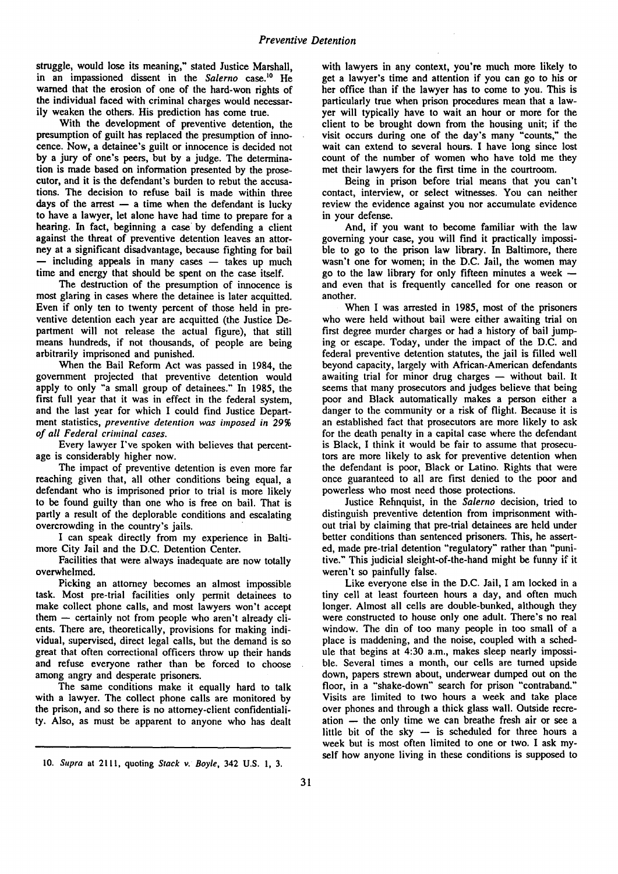struggle, would lose its meaning," stated Justice Marshall, in an impassioned dissent in the *Salerno* case.<sup>10</sup> He warned that the erosion of one of the hard-won rights of the individual faced with criminal charges would necessarily weaken the others. His prediction has come true.

With the development of preventive detention, the presumption of guilt has replaced the presumption of innocence. Now, a detainee's guilt or innocence is decided not **by** a jury of one's peers, but **by** a judge. The determination is made based on information presented **by** the prosecutor, and it is the defendant's burden to rebut the accusations. The decision to refuse bail is made within three days of the arrest  $-$  a time when the defendant is lucky to have a lawyer, let alone have had time to prepare for a hearing. In fact, beginning a case **by** defending a client against the threat of preventive detention leaves an attorney at a significant disadvantage, because fighting for bail **-** including appeals in many cases **-** takes up much time and energy that should be spent on the case itself.

The destruction of the presumption of innocence is most glaring in cases where the detainee is later acquitted. Even if only ten to twenty percent of those held in preventive detention each year are acquitted (the Justice Department will not release the actual figure), that still means hundreds, if not thousands, of people are being arbitrarily imprisoned and punished.

When the Bail Reform Act was passed in 1984, the government projected that preventive detention would apply to only "a small group of detainees." In 1985, the first full year that it was in effect in the federal system, and the last year for which I could find Justice Department statistics, *preventive detention was imposed in 29% of all Federal criminal cases.*

Every lawyer I've spoken with believes that percentage is considerably higher now.

The impact of preventive detention is even more far reaching given that, all other conditions being equal, a defendant who is imprisoned prior to trial is more likely to be found guilty than one who is free on bail. That is partly a result of the deplorable conditions and escalating overcrowding in the country's jails.

I can speak directly from my experience in Baltimore City Jail and the D.C. Detention Center.

Facilities that were always inadequate are now totally overwhelmed.

Picking an attorney becomes an almost impossible task. Most pre-trial facilities only permit detainees to make collect phone calls, and most lawyers won't accept them  $-$  certainly not from people who aren't already clients. There are, theoretically, provisions for making individual, supervised, direct legal calls, but the demand is so great that often correctional officers throw up their hands and refuse everyone rather than be forced to choose among angry and desperate prisoners.

The same conditions make it equally hard to talk with a lawyer. The collect phone calls are monitored **by** the prison, and so there is no attorney-client confidentiality. Also, as must be apparent to anyone who has dealt with lawyers in any context, you're much more likely to get a lawyer's time and attention if you can go to his or her office than if the lawyer has to come to you. This is particularly true when prison procedures mean that a lawyer will typically have to wait an hour or more for the client to be brought down from the housing unit; if the visit occurs during one of the day's many "counts," the wait can extend to several hours. I have long since lost count of the number of women who have told me they met their lawyers for the first time in the courtroom.

Being in prison before trial means that you can't contact, interview, or select witnesses. You can neither review the evidence against you nor accumulate evidence in your defense.

And, if you want to become familiar with the law governing your case, you will find it practically impossible to go to the prison law library. In Baltimore, there wasn't one for women; in the D.C. Jail, the women may go to the law library for only fifteen minutes a week  and even that is frequently cancelled for one reason or another.

When I was arrested in 1985, most of the prisoners who were held without bail were either awaiting trial on first degree murder charges or had a history of bail jumping or escape. Today, under the impact of the D.C. and federal preventive detention statutes, the jail is filled well beyond capacity, largely with African-American defendants awaiting trial for minor drug charges **-** without bail. It seems that many prosecutors and judges believe that being poor and Black automatically makes a person either a danger to the community or a risk of flight. Because it is an established fact that prosecutors are more likely to ask for the death penalty in a capital case where the defendant is Black, I think it would be fair to assume that prosecutors are more likely to ask for preventive detention when the defendant is poor, Black or Latino. Rights that were once guaranteed to all are first denied to the poor and powerless who most need those protections.

Justice Rehnquist, in the *Salerno* decision, tried to distinguish preventive detention from imprisonment without trial by claiming that pre-trial detainees are held under better conditions than sentenced prisoners. This, he asserted, made pre-trial detention "regulatory" rather than "punitive." This judicial sleight-of-the-hand might be funny if it weren't so painfully false.

Like everyone else in the D.C. Jail, I am locked in a tiny cell at least fourteen hours a day, and often much longer. Almost all cells are double-bunked, although they were constructed to house only one adult. There's no real window. The din of too many people in too small of a place is maddening, and the noise, coupled with a schedule that begins at 4:30 a.m., makes sleep nearly impossible. Several times a month, our cells are turned upside down, papers strewn about, underwear dumped out on the floor, in a "shake-down" search for prison "contraband." Visits are limited to two hours a week and take place over phones and through a thick glass wall. Outside recreation **-** the only time we can breathe fresh air or see a little bit of the sky  $-$  is scheduled for three hours a week but is most often limited to one or two. I ask myself how anyone living in these conditions is supposed to

<sup>10.</sup> Supra at 2111, quoting Stack v. *Boyle,* 342 **U.S.** 1, 3.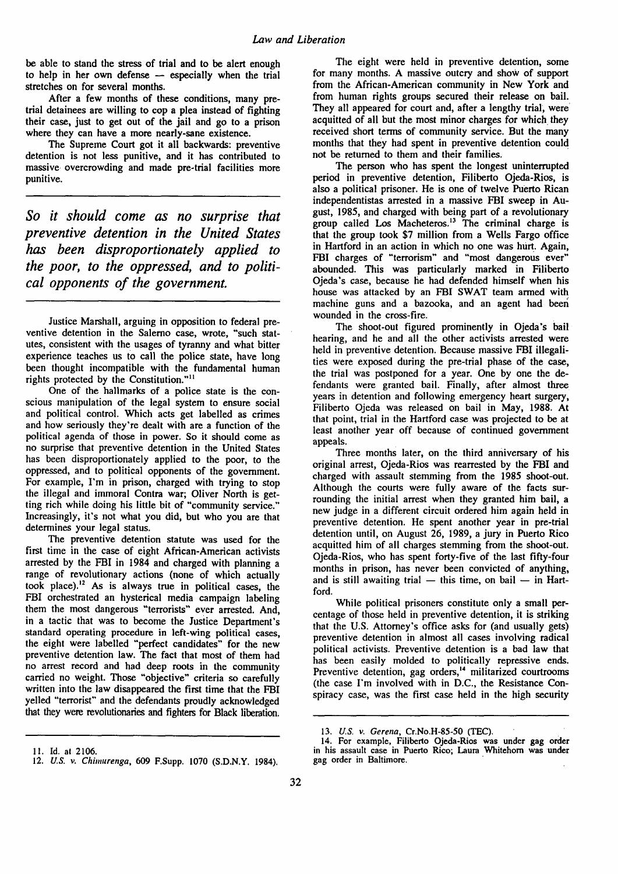be able to stand the stress of trial and to be alert enough to help in her own defense **-** especially when the trial stretches on for several months.

After a few months of these conditions, many pretrial detainees are willing to cop a plea instead of fighting their case, just to get out of the jail and go to a prison where they can have a more nearly-sane existence.

The Supreme Court got it all backwards: preventive detention is not less punitive, and it has contributed to massive overcrowding and made pre-trial facilities more punitive.

*So it should come as no surprise that preventive detention in the United States has been disproportionately applied to the poor, to the oppressed, and to political opponents of the government.*

Justice Marshall, arguing in opposition to federal preventive detention in the Salerno case, wrote, "such statutes, consistent with the usages of tyranny and what bitter experience teaches us to call the police state, have long been thought incompatible with the fundamental human rights protected by the Constitution."<sup>11</sup>

One of the hallmarks of a police state is the conscious manipulation of the legal system to ensure social and political control. Which acts get labelled as crimes and how seriously they're dealt with are a function of the political agenda of those in power. So it should come as no surprise that preventive detention in the United States has been disproportionately applied to the poor, to the oppressed, and to political opponents of the government. For example, I'm in prison, charged with trying to stop the illegal and immoral Contra war; Oliver North is getting rich while doing his little bit of "community service." Increasingly, it's not what you did, but who you are that determines your legal status.

The preventive detention statute was used for the first time in the case of eight African-American activists arrested by the FBI in 1984 and charged with planning a range of revolutionary actions (none of which actually took place).<sup>12</sup> As is always true in political cases, the FBI orchestrated an hysterical media campaign labeling them the most dangerous "terrorists" ever arrested. And, in a tactic that was to become the Justice Department's standard operating procedure in left-wing political cases, the eight were labelled "perfect candidates" for the new preventive detention law. The fact that most of them had no arrest record and had deep roots in the community carried no weight. Those "objective" criteria so carefully written into the law disappeared the first time that the FBI yelled "terrorist" and the defendants proudly acknowledged that they were revolutionaries and fighters for Black liberation.

The eight were held in preventive detention, some for many months. A massive outcry and show of support from the African-American community in New York and from human rights groups secured their release on bail. They all appeared for court and, after a lengthy trial, were' acquitted of all but the most minor charges for which they received short terms of community service. But the many months that they had spent in preventive detention could not be returned to them and their families.

The person who has spent the longest uninterrupted period in preventive detention, Filiberto Ojeda-Rios, is also a political prisoner. He is one of twelve Puerto Rican independentistas arrested in a massive FBI sweep in August, 1985, and charged with being part of a revolutionary group called Los Macheteros.<sup>13</sup> The criminal charge is that the group took \$7 million from a Wells Fargo office in Hartford in an action in which no one was hurt. Again, FBI charges of "terrorism" and "most dangerous ever" abounded. This was particularly marked in Filiberto Ojeda's case, because he had defended himself when his house was attacked by an FBI SWAT team armed with machine guns and a bazooka, and an agent had beer wounded in the cross-fire.

The shoot-out figured prominently in Ojeda's bail hearing, and he and all the other activists arrested were held in preventive detention. Because massive FBI illegalities were exposed during the pre-trial phase of the case, the trial was postponed for a year. One by one the defendants were granted bail. Finally, after almost three years in detention and following emergency heart surgery, Filiberto Ojeda was released on bail in May, 1988. At that point, trial in the Hartford case was projected to be at least another year off because of continued government appeals.

Three months later, on the third anniversary of his original arrest, Ojeda-Rios was rearrested by the FBI and charged with assault stemming from the 1985 shoot-out. Although the courts were fully aware of the facts surrounding the initial arrest when they granted him bail, a new judge in a different circuit ordered him again held in preventive detention. He spent another year in pre-trial detention until, on August 26, 1989, a jury in Puerto Rico acquitted him of all charges stemming from the shoot-out. Ojeda-Rios, who has spent forty-five of the last fifty-four months in prison, has never been convicted of anything, and is still awaiting trial  $-$  this time, on bail  $-$  in Hartford.

While political prisoners constitute only a small percentage of those held in preventive detention, it is striking that the U.S. Attorney's office asks for (and usually gets) preventive detention in almost all cases involving radical political activists. Preventive detention is a bad law that has been easily molded to politically repressive ends. Preventive detention, gag orders,<sup>14</sup> militarized courtrooms (the case I'm involved with in D.C., the Resistance Conspiracy case, was the first case held in the high security

<sup>13.</sup> *U.S. v. Gerena*, Cr.No.H-85-50 (TEC).<br>14. For example, Filiberto Ojeda-Rios was under gag order in his assault case in Puerto Rico; Laura Whitehom was under gag order in Baltimore.

**<sup>11.</sup>** Id. at 2106.

<sup>12.</sup> *US.* v. Chimurenga, 609 F.Supp. 1070 (S.D.N.Y. 1984).